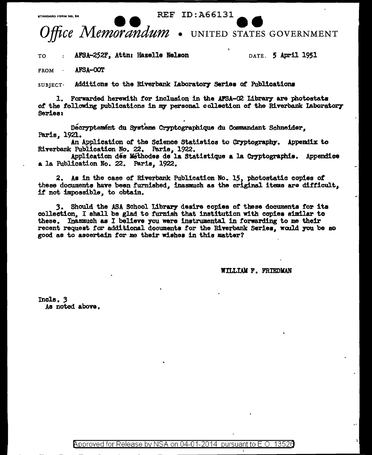**REF ID:A66131** 



AFSA-252F, Attn: Hazelle Nelson TO

DATE. 5 April 1951

**FROM** AFSA-COT

**CTANDARD FORM NO 64** 

Additions to the Riverbank Laboratory Series of Publications  $SUBIECT$ 

1. Forwarded herewith for inclusion in the AFSA-O2 Library are photostats of the following publications in my personal collection of the Riverbank Laboratory Series:

Decryptement du Systeme Cryptographique du Commandant Schneider. Paris. 1921.

An Application of the Science Statistics to Cryptography. Appendix to Riverbank Publication No. 22. Paris, 1922.

Application dés Méthodes de la Statistique a la Cryptographie. Appendice a la Publication No. 22. Paris, 1922.

2. As in the case of Riverbank Publication No. 15, photostatic copies of these documents have been furnished, inasmuch as the original items are difficult, if not impossible, to obtain.

3. Should the ASA School Library desire copies of these documents for its collection, I shall be glad to furnish that institution with copies similar to these. Inasmuch as I believe you were instrumental in forwarding to me their recent request for additional documents for the Riverbank Series, would you be so good as to ascertain for me their wishes in this matter?

WILLIAM F. FRIEDMAN

Incle. 3 As noted above.

> Approved for Release by NSA on 04-01-2014 pursuant to  $E$  O 13526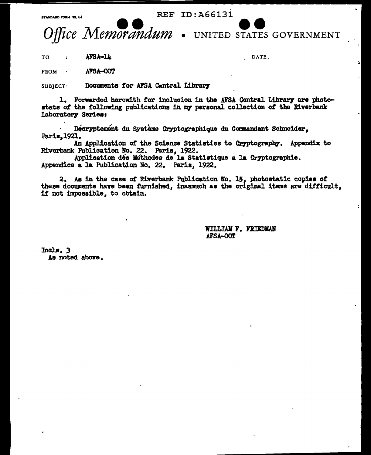STANDARD FORM NO. 64

**REF ID: A66131** 



UNITED STATES GOVERNMENT

AFSA-14 TO  $\cdot$ 

DATE.

AFSA-OOT **FROM** 

Documents for AFSA Central Library  $SUB$  JECT $\cdot$ 

1. Forwarded herewith for inclusion in the AFSA Central Library are photostats of the following publications in my personal collection of the Riverbank Laboratory Series:

Decryptement du Système Cryptographique du Commandant Schneider, Paris, 1921.

An Application of the Science Statistics to Cryptography. Appendix to Riverbank Publication No. 22. Paris, 1922.

Application dés Méthodes de la Statistique a la Cryptographie. Appendice a la Publication No. 22. Paris, 1922.

2. As in the case of Riverbank Publication No. 15, photostatic copies of these documents have been furnished, inasmuch as the original items are difficult. if not impossible, to obtain.

> WILLIAM F. FRIEDMAN AFSA-OOT

Incls. 3 As noted above.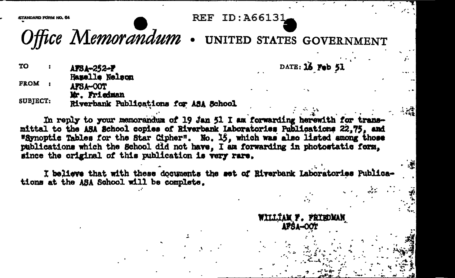**REF ID: A66131** 

DATE: 16 Feb 51

WILLIAM F. FRIEDMAN **APSA-OOT** 

TANDARD EDDM NO. 64

Office Memorandum . UNITED STATES GOVERNMENT

TO. AFSA-252-F Hazelle Nelson FROM : AFSA-COT Mr. Friedman

**SUBJECT:** Riverbank Publications for ASA School

In reply to your memorandum of 19 Jan 51 I am forwarding herewith for transmittal to the ASA School copies of Riverbank Laboratories Publications 22.75, and "Synoptic Tables for the Star Cipher". No. 15, which was also listed among those publications which the School did not have. I am forwarding in photostatic form. since the original of this publication is very rare.

I believe that with these documents the set of Riverbank Laboratories Publications at the ASA School will be complete.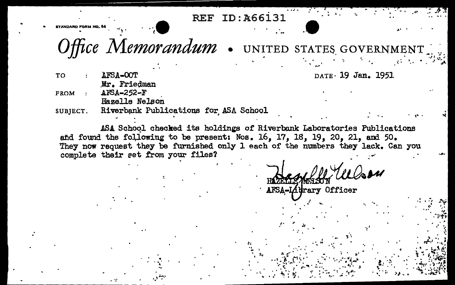**REF ID: A66131** 

Office Memorandum . UNITED STATES GOVERNMENT

DATE 19 Jan. 1951

**TO** AFSA-OOT Mr. Friedman AFSA-252-F **FROM** Hazelle Nelson

Riverbank Publications for ASA School SUBJECT.

ASA School checked its holdings of Riverbank Laboratories Publications and found the following to be present: Nos. 16, 17, 18, 19, 20, 21, and 50. They now request they be furnished only 1 each of the numbers they lack. Can you complete their set from your files?

 $0$ aru AFSA-Lidrary Officer